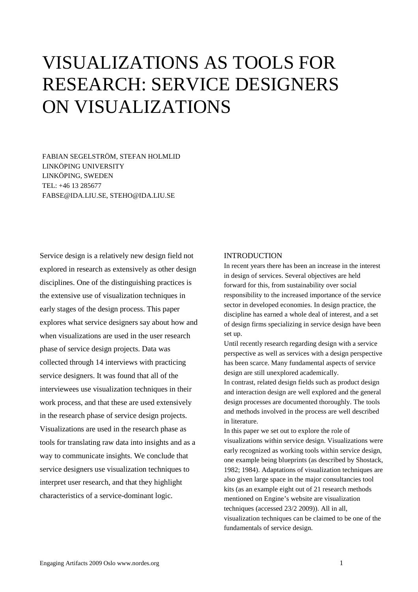# VISUALIZATIONS AS TOOLS FOR RESEARCH: SERVICE DESIGNERS ON VISUALIZATIONS

FABIAN SEGELSTRÖM, STEFAN HOLMLID LINKÖPING UNIVERSITY LINKÖPING, SWEDEN TEL: +46 13 285677 FABSE@IDA.LIU.SE, STEHO@IDA.LIU.SE

Service design is a relatively new design field not explored in research as extensively as other design disciplines. One of the distinguishing practices is the extensive use of visualization techniques in early stages of the design process. This paper explores what service designers say about how and when visualizations are used in the user research phase of service design projects. Data was collected through 14 interviews with practicing service designers. It was found that all of the interviewees use visualization techniques in their work process, and that these are used extensively in the research phase of service design projects. Visualizations are used in the research phase as tools for translating raw data into insights and as a way to communicate insights. We conclude that service designers use visualization techniques to interpret user research, and that they highlight characteristics of a service-dominant logic.

## INTRODUCTION

In recent years there has been an increase in the interest in design of services. Several objectives are held forward for this, from sustainability over social responsibility to the increased importance of the service sector in developed economies. In design practice, the discipline has earned a whole deal of interest, and a set of design firms specializing in service design have been set up.

Until recently research regarding design with a service perspective as well as services with a design perspective has been scarce. Many fundamental aspects of service design are still unexplored academically.

In contrast, related design fields such as product design and interaction design are well explored and the general design processes are documented thoroughly. The tools and methods involved in the process are well described in literature.

In this paper we set out to explore the role of visualizations within service design. Visualizations were early recognized as working tools within service design, one example being blueprints (as described by Shostack, 1982; 1984). Adaptations of visualization techniques are also given large space in the major consultancies tool kits (as an example eight out of 21 research methods mentioned on Engine's website are visualization techniques (accessed 23/2 2009)). All in all, visualization techniques can be claimed to be one of the fundamentals of service design.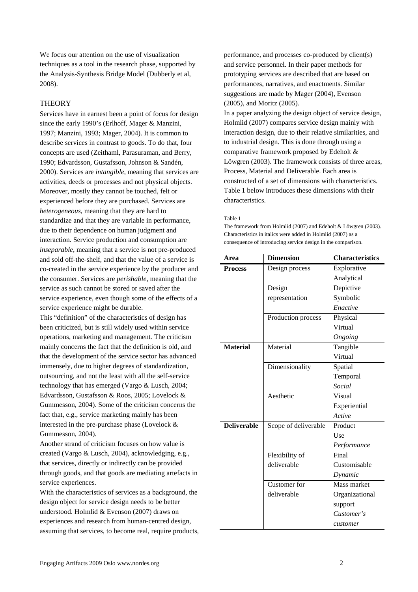We focus our attention on the use of visualization techniques as a tool in the research phase, supported by the Analysis-Synthesis Bridge Model (Dubberly et al, 2008).

# **THEORY**

Services have in earnest been a point of focus for design since the early 1990's (Erlhoff, Mager & Manzini, 1997; Manzini, 1993; Mager, 2004). It is common to describe services in contrast to goods. To do that, four concepts are used (Zeithaml, Parasuraman, and Berry, 1990; Edvardsson, Gustafsson, Johnson & Sandén, 2000). Services are *intangible*, meaning that services are activities, deeds or processes and not physical objects. Moreover, mostly they cannot be touched, felt or experienced before they are purchased. Services are *heterogeneous*, meaning that they are hard to standardize and that they are variable in performance, due to their dependence on human judgment and interaction. Service production and consumption are *inseparable*, meaning that a service is not pre-produced and sold off-the-shelf, and that the value of a service is co-created in the service experience by the producer and the consumer. Services are *perishable*, meaning that the service as such cannot be stored or saved after the service experience, even though some of the effects of a service experience might be durable.

This "definition" of the characteristics of design has been criticized, but is still widely used within service operations, marketing and management. The criticism mainly concerns the fact that the definition is old, and that the development of the service sector has advanced immensely, due to higher degrees of standardization, outsourcing, and not the least with all the self-service technology that has emerged (Vargo & Lusch, 2004; Edvardsson, Gustafsson & Roos, 2005; Lovelock & Gummesson, 2004). Some of the criticism concerns the fact that, e.g., service marketing mainly has been interested in the pre-purchase phase (Lovelock & Gummesson, 2004).

Another strand of criticism focuses on how value is created (Vargo & Lusch, 2004), acknowledging, e.g., that services, directly or indirectly can be provided through goods, and that goods are mediating artefacts in service experiences.

With the characteristics of services as a background, the design object for service design needs to be better understood. Holmlid & Evenson (2007) draws on experiences and research from human-centred design, assuming that services, to become real, require products, performance, and processes co-produced by client(s) and service personnel. In their paper methods for prototyping services are described that are based on performances, narratives, and enactments. Similar suggestions are made by Mager (2004), Evenson (2005), and Moritz (2005).

In a paper analyzing the design object of service design, Holmlid (2007) compares service design mainly with interaction design, due to their relative similarities, and to industrial design. This is done through using a comparative framework proposed by Edeholt & Löwgren (2003). The framework consists of three areas, Process, Material and Deliverable. Each area is constructed of a set of dimensions with characteristics. [Table 1](#page-1-0) below introduces these dimensions with their characteristics.

#### <span id="page-1-0"></span>Table 1

The framework from Holmlid (2007) and Edeholt & Löwgren (2003). Characteristics in italics were added in Holmlid (2007) as a consequence of introducing service design in the comparison.

| Area               | <b>Dimension</b>     | <b>Characteristics</b> |
|--------------------|----------------------|------------------------|
| <b>Process</b>     | Design process       | Explorative            |
|                    |                      | Analytical             |
|                    | Design               | Depictive              |
|                    | representation       | Symbolic               |
|                    |                      | Enactive               |
|                    | Production process   | Physical               |
|                    |                      | Virtual                |
|                    |                      | Ongoing                |
| <b>Material</b>    | Material             | Tangible               |
|                    |                      | Virtual                |
|                    | Dimensionality       | Spatial                |
|                    |                      | Temporal               |
|                    |                      | Social                 |
|                    | Aesthetic            | Visual                 |
|                    |                      | Experiential           |
|                    |                      | Active                 |
| <b>Deliverable</b> | Scope of deliverable | Product                |
|                    |                      | Use                    |
|                    |                      | Performance            |
|                    | Flexibility of       | Final                  |
|                    | deliverable          | Customisable           |
|                    |                      | Dynamic                |
|                    | Customer for         | Mass market            |
|                    | deliverable          | Organizational         |
|                    |                      | support                |
|                    |                      | Customer's             |
|                    |                      | customer               |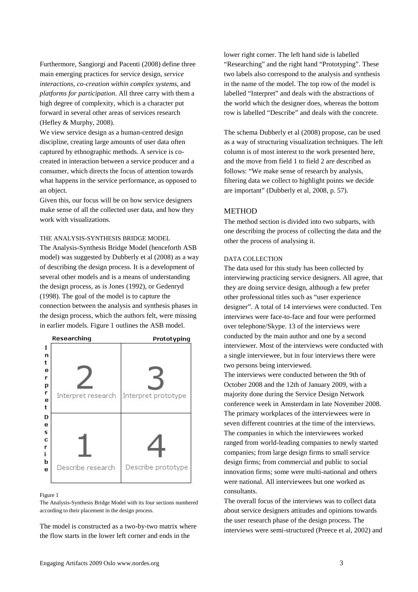Furthermore, Sangiorgi and Pacenti (2008) define three main emerging practices for service design, *service interactions*, *co-creation within complex systems*, and *platforms for participation*. All three carry with them a high degree of complexity, which is a character put forward in several other areas of services research (Hefley & Murphy, 2008).

We view service design as a human-centred design discipline, creating large amounts of user data often captured by ethnographic methods. A service is cocreated in interaction between a service producer and a consumer, which directs the focus of attention towards what happens in the service performance, as opposed to an object.

Given this, our focus will be on how service designers make sense of all the collected user data, and how they work with visualizations.

THE ANALYSIS-SYNTHESIS BRIDGE MODEL

The Analysis-Synthesis Bridge Model (henceforth ASB model) was suggested by Dubberly et al (2008) as a way of describing the design process. It is a development of several other models and is a means of understanding the design process, as is Jones (1992), or Gedenryd (1998). The goal of the model is to capture the connection between the analysis and synthesis phases in the design process, which the authors felt, were missing in earlier models. [Figure 1](#page-2-0) outlines the ASB model.



#### <span id="page-2-0"></span>Figure 1

The Analysis-Synthesis Bridge Model with its four sections numbered according to their placement in the design process.

The model is constructed as a two-by-two matrix where the flow starts in the lower left corner and ends in the

lower right corner. The left hand side is labelled "Researching" and the right hand "Prototyping". These two labels also correspond to the analysis and synthesis in the name of the model. The top row of the model is labelled "Interpret" and deals with the abstractions of the world which the designer does, whereas the bottom row is labelled "Describe" and deals with the concrete.

The schema Dubberly et al (2008) propose, can be used as a way of structuring visualization techniques. The left column is of most interest to the work presented here, and the move from field 1 to field 2 are described as follows: "We make sense of research by analysis, filtering data we collect to highlight points we decide are important" (Dubberly et al, 2008, p. 57).

# **METHOD**

The method section is divided into two subparts, with one describing the process of collecting the data and the other the process of analysing it.

## DATA COLLECTION

The data used for this study has been collected by interviewing practicing service designers. All agree, that they are doing service design, although a few prefer other professional titles such as "user experience designer". A total of 14 interviews were conducted. Ten interviews were face-to-face and four were performed over telephone/Skype. 13 of the interviews were conducted by the main author and one by a second interviewer. Most of the interviews were conducted with a single interviewee, but in four interviews there were two persons being interviewed.

The interviews were conducted between the 9th of October 2008 and the 12th of January 2009, with a majority done during the Service Design Network conference week in Amsterdam in late November 2008. The primary workplaces of the interviewees were in seven different countries at the time of the interviews. The companies in which the interviewees worked ranged from world-leading companies to newly started companies; from large design firms to small service design firms; from commercial and public to social innovation firms; some were multi-national and others were national. All interviewees but one worked as consultants.

The overall focus of the interviews was to collect data about service designers attitudes and opinions towards the user research phase of the design process. The interviews were semi-structured (Preece et al, 2002) and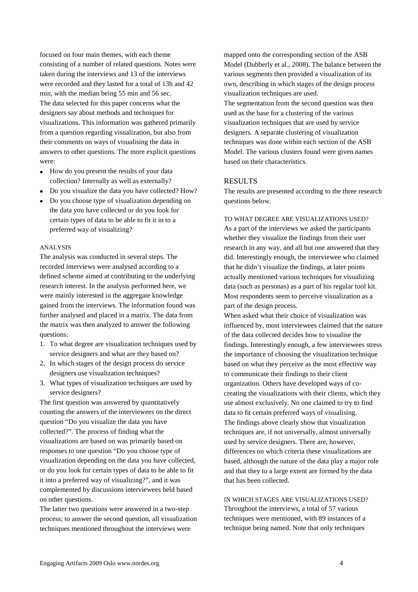focused on four main themes, with each theme consisting of a number of related questions. Notes were taken during the interviews and 13 of the interviews were recorded and they lasted for a total of 13h and 42 min, with the median being 55 min and 56 sec. The data selected for this paper concerns what the designers say about methods and techniques for visualizations. This information was gathered primarily from a question regarding visualization, but also from their comments on ways of visualising the data in answers to other questions. The more explicit questions were:

- How do you present the results of your data collection? Internally as well as externally?
- Do you visualize the data you have collected? How?
- Do you choose type of visualization depending on the data you have collected or do you look for certain types of data to be able to fit it in to a preferred way of visualizing?

## ANALYSIS

The analysis was conducted in several steps. The recorded interviews were analysed according to a defined scheme aimed at contributing to the underlying research interest. In the analysis performed here, we were mainly interested in the aggregate knowledge gained from the interviews. The information found was further analysed and placed in a matrix. The data from the matrix was then analyzed to answer the following questions:

- 1. To what degree are visualization techniques used by service designers and what are they based on?
- 2. In which stages of the design process do service designers use visualization techniques?
- 3. What types of visualization techniques are used by service designers?

The first question was answered by quantitatively counting the answers of the interviewees on the direct question "Do you visualize the data you have collected?". The process of finding what the visualizations are based on was primarily based on responses to one question "Do you choose type of visualization depending on the data you have collected, or do you look for certain types of data to be able to fit it into a preferred way of visualizing?", and it was complemented by discussions interviewees held based on other questions.

The latter two questions were answered in a two-step process; to answer the second question, all visualization techniques mentioned throughout the interviews were

mapped onto the corresponding section of the ASB Model (Dubberly et al., 2008). The balance between the various segments then provided a visualization of its own, describing in which stages of the design process visualization techniques are used.

The segmentation from the second question was then used as the base for a clustering of the various visualization techniques that are used by service designers. A separate clustering of visualization techniques was done within each section of the ASB Model. The various clusters found were given names based on their characteristics.

## RESULTS

The results are presented according to the three research questions below.

## TO WHAT DEGREE ARE VISUALIZATIONS USED?

As a part of the interviews we asked the participants whether they visualize the findings from their user research in any way, and all but one answered that they did. Interestingly enough, the interviewee who claimed that he didn't visualize the findings, at later points actually mentioned various techniques for visualizing data (such as personas) as a part of his regular tool kit. Most respondents seem to perceive visualization as a part of the design process.

When asked what their choice of visualization was influenced by, most interviewees claimed that the nature of the data collected decides how to visualise the findings. Interestingly enough, a few interviewees stress the importance of choosing the visualization technique based on what they perceive as the most effective way to communicate their findings to their client organization. Others have developed ways of cocreating the visualizations with their clients, which they use almost exclusively. No one claimed to try to find data to fit certain preferred ways of visualising. The findings above clearly show that visualization techniques are, if not universally, almost universally used by service designers. There are, however, differences on which criteria these visualizations are based, although the nature of the data play a major role and that they to a large extent are formed by the data that has been collected.

IN WHICH STAGES ARE VISUALIZATIONS USED? Throughout the interviews, a total of 57 various techniques were mentioned, with 89 instances of a technique being named. Note that only techniques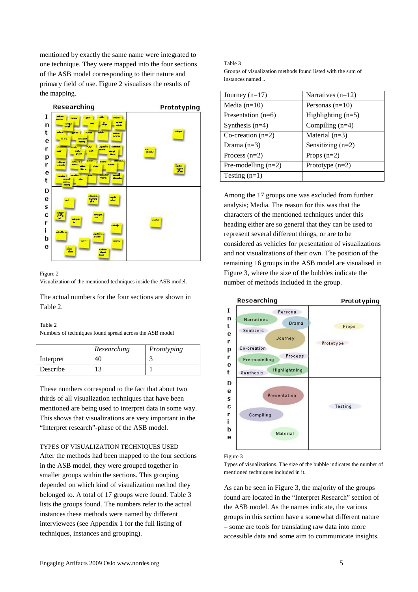mentioned by exactly the same name were integrated to one technique. They were mapped into the four sections of the ASB model corresponding to their nature and primary field of use. [Figure 2](#page-4-0) visualises the results of the mapping.



## <span id="page-4-0"></span>Figure 2

Visualization of the mentioned techniques inside the ASB model.

The actual numbers for the four sections are shown in Table 2.

## Table 2

Numbers of techniques found spread across the ASB model

|           | Researching | Prototyping |
|-----------|-------------|-------------|
| Interpret | 40          |             |
| Describe  | 1つ          |             |

These numbers correspond to the fact that about two thirds of all visualization techniques that have been mentioned are being used to interpret data in some way. This shows that visualizations are very important in the "Interpret research"-phase of the ASB model.

#### TYPES OF VISUALIZATION TECHNIQUES USED

After the methods had been mapped to the four sections in the ASB model, they were grouped together in smaller groups within the sections. This grouping depended on which kind of visualization method they belonged to. A total of 17 groups were found. [Table 3](#page-4-1) lists the groups found. The numbers refer to the actual instances these methods were named by different interviewees (see Appendix 1 for the full listing of techniques, instances and grouping).

<span id="page-4-1"></span>Table 3 Groups of visualization methods found listed with the sum of instances named ..

| Journey $(n=17)$      | Narratives $(n=12)$  |
|-----------------------|----------------------|
| Media $(n=10)$        | Personas $(n=10)$    |
| Presentation $(n=6)$  | Highlighting $(n=5)$ |
| Synthesis $(n=4)$     | Compiling $(n=4)$    |
| Co-creation $(n=2)$   | Material $(n=3)$     |
| Drama $(n=3)$         | Sensitizing $(n=2)$  |
| Process $(n=2)$       | Props $(n=2)$        |
| Pre-modelling $(n=2)$ | Prototype $(n=2)$    |
| Testing $(n=1)$       |                      |

Among the 17 groups one was excluded from further analysis; Media. The reason for this was that the characters of the mentioned techniques under this heading either are so general that they can be used to represent several different things, or are to be considered as vehicles for presentation of visualizations and not visualizations of their own. The position of the remaining 16 groups in the ASB model are visualised in [Figure 3,](#page-4-2) where the size of the bubbles indicate the number of methods included in the group.



#### <span id="page-4-2"></span>Figure 3

Types of visualizations. The size of the bubble indicates the number of mentioned techniques included in it.

As can be seen in [Figure 3,](#page-4-2) the majority of the groups found are located in the "Interpret Research" section of the ASB model. As the names indicate, the various groups in this section have a somewhat different nature – some are tools for translating raw data into more accessible data and some aim to communicate insights.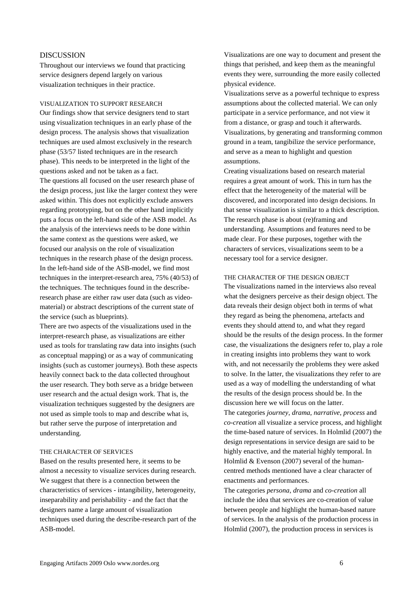## DISCUSSION

Throughout our interviews we found that practicing service designers depend largely on various visualization techniques in their practice.

## VISUALIZATION TO SUPPORT RESEARCH

Our findings show that service designers tend to start using visualization techniques in an early phase of the design process. The analysis shows that visualization techniques are used almost exclusively in the research phase (53/57 listed techniques are in the research phase). This needs to be interpreted in the light of the questions asked and not be taken as a fact. The questions all focused on the user research phase of the design process, just like the larger context they were asked within. This does not explicitly exclude answers regarding prototyping, but on the other hand implicitly puts a focus on the left-hand side of the ASB model. As the analysis of the interviews needs to be done within the same context as the questions were asked, we focused our analysis on the role of visualization techniques in the research phase of the design process. In the left-hand side of the ASB-model, we find most techniques in the interpret-research area, 75% (40/53) of the techniques. The techniques found in the describeresearch phase are either raw user data (such as videomaterial) or abstract descriptions of the current state of the service (such as blueprints).

There are two aspects of the visualizations used in the interpret-research phase, as visualizations are either used as tools for translating raw data into insights (such as conceptual mapping) or as a way of communicating insights (such as customer journeys). Both these aspects heavily connect back to the data collected throughout the user research. They both serve as a bridge between user research and the actual design work. That is, the visualization techniques suggested by the designers are not used as simple tools to map and describe what is, but rather serve the purpose of interpretation and understanding.

## THE CHARACTER OF SERVICES

Based on the results presented here, it seems to be almost a necessity to visualize services during research. We suggest that there is a connection between the characteristics of services - intangibility, heterogeneity, inseparability and perishability - and the fact that the designers name a large amount of visualization techniques used during the describe-research part of the ASB-model.

Visualizations are one way to document and present the things that perished, and keep them as the meaningful events they were, surrounding the more easily collected physical evidence.

Visualizations serve as a powerful technique to express assumptions about the collected material. We can only participate in a service performance, and not view it from a distance, or grasp and touch it afterwards. Visualizations, by generating and transforming common ground in a team, tangibilize the service performance, and serve as a mean to highlight and question assumptions.

Creating visualizations based on research material requires a great amount of work. This in turn has the effect that the heterogeneity of the material will be discovered, and incorporated into design decisions. In that sense visualization is similar to a thick description. The research phase is about (re)framing and understanding. Assumptions and features need to be made clear. For these purposes, together with the characters of services, visualizations seem to be a necessary tool for a service designer.

## THE CHARACTER OF THE DESIGN OBJECT

The visualizations named in the interviews also reveal what the designers perceive as their design object. The data reveals their design object both in terms of what they regard as being the phenomena, artefacts and events they should attend to, and what they regard should be the results of the design process. In the former case, the visualizations the designers refer to, play a role in creating insights into problems they want to work with, and not necessarily the problems they were asked to solve. In the latter, the visualizations they refer to are used as a way of modelling the understanding of what the results of the design process should be. In the discussion here we will focus on the latter. The categories *journey*, *drama*, *narrative*, *process* and *co-creation* all visualize a service process, and highlight the time-based nature of services. In Holmlid (2007) the design representations in service design are said to be highly enactive, and the material highly temporal. In

Holmlid & Evenson (2007) several of the humancentred methods mentioned have a clear character of enactments and performances.

The categories *persona*, *drama* and *co-creation* all include the idea that services are co-creation of value between people and highlight the human-based nature of services. In the analysis of the production process in Holmlid (2007), the production process in services is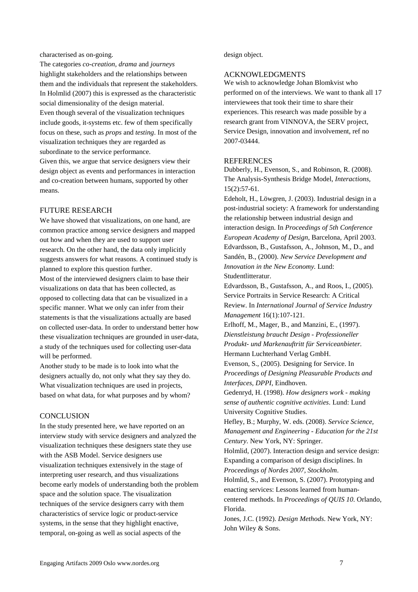characterised as on-going.

The categories *co-creation*, *drama* and *journeys* highlight stakeholders and the relationships between them and the individuals that represent the stakeholders. In Holmlid (2007) this is expressed as the characteristic social dimensionality of the design material. Even though several of the visualization techniques include goods, it-systems etc. few of them specifically focus on these, such as *props* and *testing*. In most of the visualization techniques they are regarded as subordinate to the service performance. Given this, we argue that service designers view their design object as events and performances in interaction and co-creation between humans, supported by other means.

## FUTURE RESEARCH

We have showed that visualizations, on one hand, are common practice among service designers and mapped out how and when they are used to support user research. On the other hand, the data only implicitly suggests answers for what reasons. A continued study is planned to explore this question further.

Most of the interviewed designers claim to base their visualizations on data that has been collected, as opposed to collecting data that can be visualized in a specific manner. What we only can infer from their statements is that the visualizations actually are based on collected user-data. In order to understand better how these visualization techniques are grounded in user-data, a study of the techniques used for collecting user-data will be performed.

Another study to be made is to look into what the designers actually do, not only what they say they do. What visualization techniques are used in projects, based on what data, for what purposes and by whom?

## **CONCLUSION**

In the study presented here, we have reported on an interview study with service designers and analyzed the visualization techniques these designers state they use with the ASB Model. Service designers use visualization techniques extensively in the stage of interpreting user research, and thus visualizations become early models of understanding both the problem space and the solution space. The visualization techniques of the service designers carry with them characteristics of service logic or product-service systems, in the sense that they highlight enactive, temporal, on-going as well as social aspects of the

design object.

# ACKNOWLEDGMENTS

We wish to acknowledge Johan Blomkvist who performed on of the interviews. We want to thank all 17 interviewees that took their time to share their experiences. This research was made possible by a research grant from VINNOVA, the SERV project, Service Design, innovation and involvement, ref no 2007-03444.

# **REFERENCES**

Dubberly, H., Evenson, S., and Robinson, R. (2008). The Analysis-Synthesis Bridge Model, *Interactions,* 15(2):57-61.

Edeholt, H., Löwgren, J. (2003). Industrial design in a post-industrial society: A framework for understanding the relationship between industrial design and interaction design. In *Proceedings of 5th Conference European Academy of Design*, Barcelona, April 2003. Edvardsson, B., Gustafsson, A., Johnson, M., D., and Sandén, B., (2000). *New Service Development and Innovation in the New Economy.* Lund: Studentlitteratur.

Edvardsson, B., Gustafsson, A., and Roos, I., (2005). Service Portraits in Service Research: A Critical Review. In *International Journal of Service Industry Management* 16(1):107-121.

Erlhoff, M., Mager, B., and Manzini, E., (1997). *Dienstleistung braucht Design - Professioneller Produkt- und Markenauftritt für Serviceanbieter.* Hermann Luchterhand Verlag GmbH.

Evenson, S., (2005). Designing for Service. In *Proceedings of Designing Pleasurable Products and Interfaces, DPPI*, Eindhoven.

Gedenryd, H. (1998). *How designers work - making sense of authentic cognitive activities*. Lund: Lund University Cognitive Studies.

Hefley, B.; Murphy, W. eds. (2008). *Service Science, Management and Engineering - Education for the 21st Century*. New York, NY: Springer.

Holmlid, (2007). Interaction design and service design: Expanding a comparison of design disciplines. In *Proceedings of Nordes 2007, Stockholm*.

Holmlid, S., and Evenson, S. (2007). Prototyping and enacting services: Lessons learned from humancentered methods. In *Proceedings of QUIS 10*. Orlando, Florida.

Jones, J.C. (1992). *Design Methods*. New York, NY: John Wiley & Sons.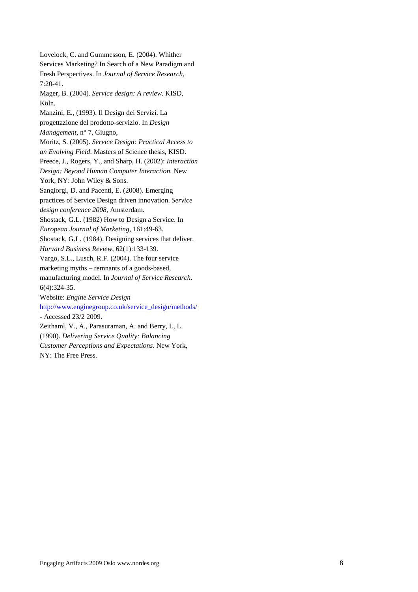Lovelock, C. and Gummesson, E. (2004). Whither Services Marketing? In Search of a New Paradigm and Fresh Perspectives. In *Journal of Service Research*, 7:20-41. Mager, B. (2004). *Service design: A review*. KISD, Köln. Manzini, E., (1993). Il Design dei Servizi. La progettazione del prodotto-servizio. In *Design Management*, n° 7, Giugno, Moritz, S. (2005). *Service Design: Practical Access to an Evolving Field*. Masters of Science thesis, KISD. Preece, J., Rogers, Y., and Sharp, H. (2002): *Interaction Design: Beyond Human Computer Interaction.* New York, NY: John Wiley & Sons. Sangiorgi, D. and Pacenti, E. (2008). Emerging practices of Service Design driven innovation. *Service design conference 2008*, Amsterdam. Shostack, G.L. (1982) How to Design a Service. In *European Journal of Marketing,* 161:49-63. Shostack, G.L. (1984). Designing services that deliver. *Harvard Business Review*, 62(1):133-139. Vargo, S.L., Lusch, R.F. (2004). The four service marketing myths – remnants of a goods-based, manufacturing model. In *Journal of Service Research*. 6(4):324-35. Website: *Engine Service Design* [http://www.enginegroup.co.uk/service\\_design/methods/](http://www.enginegroup.co.uk/service_design/methods/) - Accessed 23/2 2009. Zeithaml, V., A., Parasuraman, A. and Berry, L, L. (1990). *Delivering Service Quality: Balancing Customer Perceptions and Expectations*. New York, NY: The Free Press.